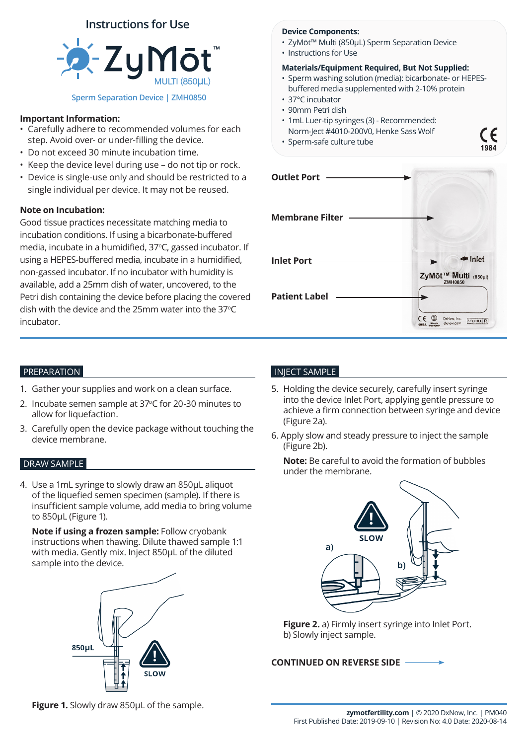# **Instructions for Use**



## **Important Information:**

- Carefully adhere to recommended volumes for each step. Avoid over- or under-filling the device.
- Do not exceed 30 minute incubation time.
- Keep the device level during use do not tip or rock.
- Device is single-use only and should be restricted to a single individual per device. It may not be reused.

## **Note on Incubation:**

Good tissue practices necessitate matching media to incubation conditions. If using a bicarbonate-buffered media, incubate in a humidified, 37°C, gassed incubator. If using a HEPES-buffered media, incubate in a humidified, non-gassed incubator. If no incubator with humidity is available, add a 25mm dish of water, uncovered, to the Petri dish containing the device before placing the covered dish with the device and the 25mm water into the 37°C incubator.

### **Device Components:**

- ZyMōt™ Multi (850µL) Sperm Separation Device
- Instructions for Use

## **Materials/Equipment Required, But Not Supplied:**

• Sperm washing solution (media): bicarbonate- or HEPESbuffered media supplemented with 2-10% protein

C <del>C</del>

- 37°C incubator
- 90mm Petri dish
- 1mL Luer-tip syringes (3) Recommended: Norm-Ject #4010-200V0, Henke Sass Wolf
- Sperm-safe culture tube

| <b>Outlet Port</b>     |                                                          |
|------------------------|----------------------------------------------------------|
| <b>Membrane Filter</b> |                                                          |
| <b>Inlet Port</b>      | $\blacksquare$ Inlet<br>ZyMōt <sup>™</sup> Multi (850µl) |
| <b>Patient Label</b>   | DxNow, Inc.<br><b>STERILE R</b><br>dxnow.com             |

## PREPARATION

- 1. Gather your supplies and work on a clean surface.
- 2. Incubate semen sample at 37°C for 20-30 minutes to allow for liquefaction.
- 3. Carefully open the device package without touching the device membrane.

## DRAW SAMPLE

4. Use a 1mL syringe to slowly draw an 850µL aliquot of the liquefied semen specimen (sample). If there is insufficient sample volume, add media to bring volume to 850µL (Figure 1).

**Note if using a frozen sample:** Follow cryobank instructions when thawing. Dilute thawed sample 1:1 with media. Gently mix. Inject 850µL of the diluted sample into the device.



## INJECT SAMPLE

- 5. Holding the device securely, carefully insert syringe into the device Inlet Port, applying gentle pressure to achieve a firm connection between syringe and device (Figure 2a).
- 6. Apply slow and steady pressure to inject the sample (Figure 2b).

**Note:** Be careful to avoid the formation of bubbles under the membrane.



**Figure 2.** a) Firmly insert syringe into Inlet Port. b) Slowly inject sample.

## **CONTINUED ON REVERSE SIDE**

**Figure 1.** Slowly draw 850μL of the sample.